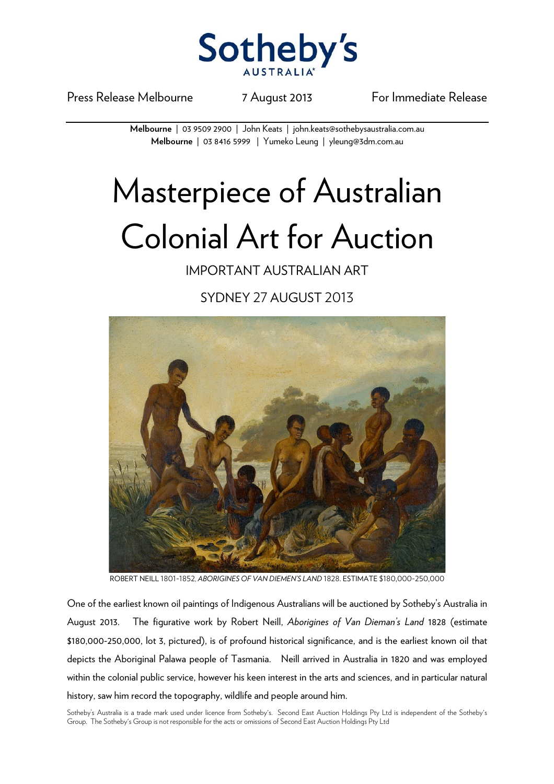

Press Release Melbourne 7 August 2013 For Immediate Release

**Melbourne** | 03 9509 2900 | John Keats | john.keats@sothebysaustralia.com.au **Melbourne** | 03 8416 5999 | Yumeko Leung | yleung@3dm.com.au

## Masterpiece of Australian Colonial Art for Auction

IMPORTANT AUSTRALIAN ART

SYDNEY 27 AUGUST 2013



ROBERT NEILL 1801-1852, *ABORIGINES OF VAN DIEMEN'S LAND* 1828. ESTIMATE \$180,000-250,000

One of the earliest known oil paintings of Indigenous Australians will be auctioned by Sotheby's Australia in August 2013. The figurative work by Robert Neill, *Aborigines of Van Dieman's Land* 1828 (estimate \$180,000-250,000, lot 3, pictured), is of profound historical significance, and is the earliest known oil that depicts the Aboriginal Palawa people of Tasmania. Neill arrived in Australia in 1820 and was employed within the colonial public service, however his keen interest in the arts and sciences, and in particular natural history, saw him record the topography, wildlife and people around him.

Sotheby's Australia is a trade mark used under licence from Sotheby's. Second East Auction Holdings Pty Ltd is independent of the Sotheby's Group. The Sotheby's Group is not responsible for the acts or omissions of Second East Auction Holdings Pty Ltd